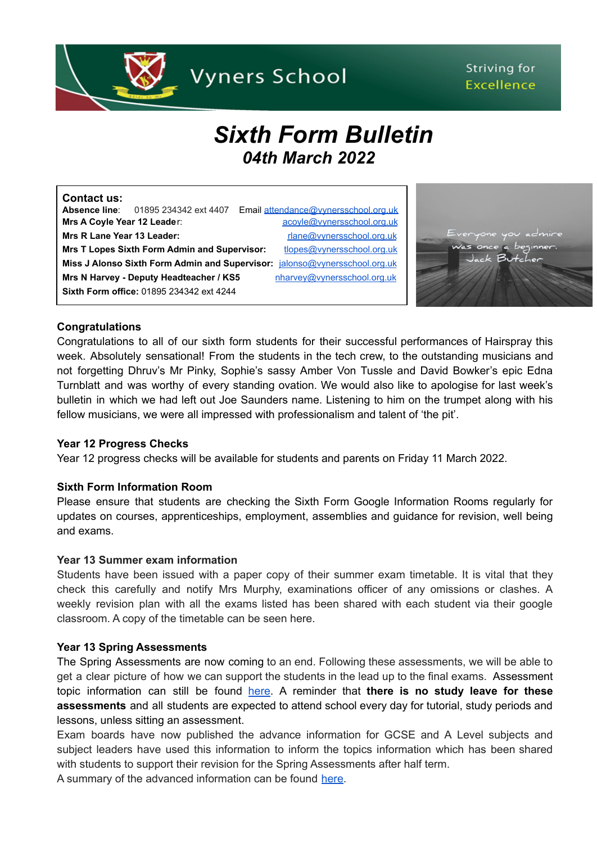

# Striving for **Excellence**

# *Sixth Form Bulletin 04th March 2022*

| <b>Contact us:</b>          |                                                     |                                      |
|-----------------------------|-----------------------------------------------------|--------------------------------------|
|                             | <b>Absence line:</b> 01895 234342 ext 4407          | Email attendance@vynersschool.org.uk |
| Mrs A Coyle Year 12 Leader: |                                                     | acoyle@vynersschool.org.uk           |
| Mrs R Lane Year 13 Leader:  |                                                     | rlane@vynersschool.org.uk            |
|                             | <b>Mrs T Lopes Sixth Form Admin and Supervisor:</b> | tlopes@vynersschool.org.uk           |
|                             | Miss J Alonso Sixth Form Admin and Supervisor:      | jalonso@vynersschool.org.uk          |
|                             | Mrs N Harvey - Deputy Headteacher / KS5             | nharvey@vynersschool.org.uk          |
|                             | <b>Sixth Form office: 01895 234342 ext 4244</b>     |                                      |



### **Congratulations**

Congratulations to all of our sixth form students for their successful performances of Hairspray this week. Absolutely sensational! From the students in the tech crew, to the outstanding musicians and not forgetting Dhruv's Mr Pinky, Sophie's sassy Amber Von Tussle and David Bowker's epic Edna Turnblatt and was worthy of every standing ovation. We would also like to apologise for last week's bulletin in which we had left out Joe Saunders name. Listening to him on the trumpet along with his fellow musicians, we were all impressed with professionalism and talent of 'the pit'.

#### **Year 12 Progress Checks**

Year 12 progress checks will be available for students and parents on Friday 11 March 2022.

#### **Sixth Form Information Room**

Please ensure that students are checking the Sixth Form Google Information Rooms regularly for updates on courses, apprenticeships, employment, assemblies and guidance for revision, well being and exams.

#### **Year 13 Summer exam information**

Students have been issued with a paper copy of their summer exam timetable. It is vital that they check this carefully and notify Mrs Murphy, examinations officer of any omissions or clashes. A weekly revision plan with all the exams listed has been shared with each student via their google classroom. A copy of the timetable can be seen here.

#### **Year 13 Spring Assessments**

The Spring Assessments are now coming to an end. Following these assessments, we will be able to get a clear picture of how we can support the students in the lead up to the final exams. Assessment topic information can still be found [here.](https://www.vynersschool.org.uk/page/?title=Exam+Information&pid=56) A reminder that **there is no study leave for these assessments** and all students are expected to attend school every day for tutorial, study periods and lessons, unless sitting an assessment.

Exam boards have now published the advance information for GCSE and A Level subjects and subject leaders have used this information to inform the topics information which has been shared with students to support their revision for the Spring Assessments after half term.

A summary of the advanced information can be found [here.](https://www.vynersschool.org.uk/_site/data/files/users/91/files/F0F8A4C93352A7018153E8E1A589F315.pdf)